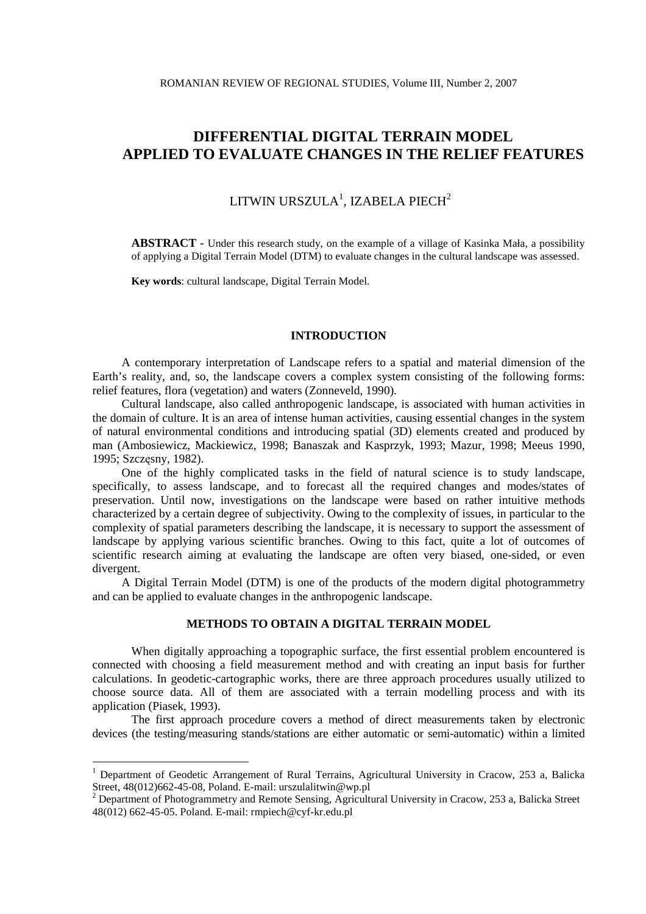# LITWIN URSZULA<sup>1</sup>, IZABELA PIECH<sup>2</sup>

**ABSTRACT -** Under this research study, on the example of a village of Kasinka Mała, a possibility of applying a Digital Terrain Model (DTM) to evaluate changes in the cultural landscape was assessed.

**Key words**: cultural landscape, Digital Terrain Model.

#### **INTRODUCTION**

A contemporary interpretation of Landscape refers to a spatial and material dimension of the Earth's reality, and, so, the landscape covers a complex system consisting of the following forms: relief features, flora (vegetation) and waters (Zonneveld, 1990).

Cultural landscape, also called anthropogenic landscape, is associated with human activities in the domain of culture. It is an area of intense human activities, causing essential changes in the system of natural environmental conditions and introducing spatial (3D) elements created and produced by man (Ambosiewicz, Mackiewicz, 1998; Banaszak and Kasprzyk, 1993; Mazur, 1998; Meeus 1990, 1995; Szczęsny, 1982).

One of the highly complicated tasks in the field of natural science is to study landscape, specifically, to assess landscape, and to forecast all the required changes and modes/states of preservation. Until now, investigations on the landscape were based on rather intuitive methods characterized by a certain degree of subjectivity. Owing to the complexity of issues, in particular to the complexity of spatial parameters describing the landscape, it is necessary to support the assessment of landscape by applying various scientific branches. Owing to this fact, quite a lot of outcomes of scientific research aiming at evaluating the landscape are often very biased, one-sided, or even divergent.

A Digital Terrain Model (DTM) is one of the products of the modern digital photogrammetry and can be applied to evaluate changes in the anthropogenic landscape.

# **METHODS TO OBTAIN A DIGITAL TERRAIN MODEL**

When digitally approaching a topographic surface, the first essential problem encountered is connected with choosing a field measurement method and with creating an input basis for further calculations. In geodetic-cartographic works, there are three approach procedures usually utilized to choose source data. All of them are associated with a terrain modelling process and with its application (Piasek, 1993).

The first approach procedure covers a method of direct measurements taken by electronic devices (the testing/measuring stands/stations are either automatic or semi-automatic) within a limited

 $\overline{a}$ 

<sup>&</sup>lt;sup>1</sup> Department of Geodetic Arrangement of Rural Terrains, Agricultural University in Cracow, 253 a, Balicka Street, 48(012)662-45-08, Poland. E-mail: urszulalitwin@wp.pl

<sup>&</sup>lt;sup>2</sup> Department of Photogrammetry and Remote Sensing, Agricultural University in Cracow, 253 a, Balicka Street 48(012) 662-45-05. Poland. E-mail: rmpiech@cyf-kr.edu.pl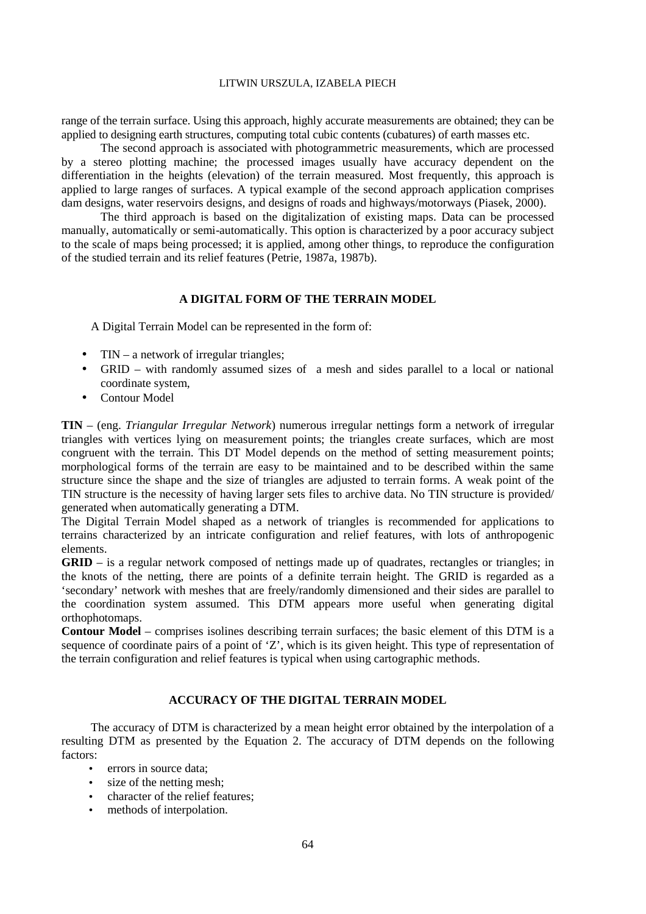range of the terrain surface. Using this approach, highly accurate measurements are obtained; they can be applied to designing earth structures, computing total cubic contents (cubatures) of earth masses etc.

The second approach is associated with photogrammetric measurements, which are processed by a stereo plotting machine; the processed images usually have accuracy dependent on the differentiation in the heights (elevation) of the terrain measured. Most frequently, this approach is applied to large ranges of surfaces. A typical example of the second approach application comprises dam designs, water reservoirs designs, and designs of roads and highways/motorways (Piasek, 2000).

The third approach is based on the digitalization of existing maps. Data can be processed manually, automatically or semi-automatically. This option is characterized by a poor accuracy subject to the scale of maps being processed; it is applied, among other things, to reproduce the configuration of the studied terrain and its relief features (Petrie, 1987a, 1987b).

## **A DIGITAL FORM OF THE TERRAIN MODEL**

A Digital Terrain Model can be represented in the form of:

- TIN a network of irregular triangles;
- GRID with randomly assumed sizes of a mesh and sides parallel to a local or national coordinate system,
- Contour Model

**TIN** – (eng. *Triangular Irregular Network*) numerous irregular nettings form a network of irregular triangles with vertices lying on measurement points; the triangles create surfaces, which are most congruent with the terrain. This DT Model depends on the method of setting measurement points; morphological forms of the terrain are easy to be maintained and to be described within the same structure since the shape and the size of triangles are adjusted to terrain forms. A weak point of the TIN structure is the necessity of having larger sets files to archive data. No TIN structure is provided/ generated when automatically generating a DTM.

The Digital Terrain Model shaped as a network of triangles is recommended for applications to terrains characterized by an intricate configuration and relief features, with lots of anthropogenic elements.

**GRID** – is a regular network composed of nettings made up of quadrates, rectangles or triangles; in the knots of the netting, there are points of a definite terrain height. The GRID is regarded as a 'secondary' network with meshes that are freely/randomly dimensioned and their sides are parallel to the coordination system assumed. This DTM appears more useful when generating digital orthophotomaps.

**Contour Model** – comprises isolines describing terrain surfaces; the basic element of this DTM is a sequence of coordinate pairs of a point of 'Z', which is its given height. This type of representation of the terrain configuration and relief features is typical when using cartographic methods.

# **ACCURACY OF THE DIGITAL TERRAIN MODEL**

The accuracy of DTM is characterized by a mean height error obtained by the interpolation of a resulting DTM as presented by the Equation 2. The accuracy of DTM depends on the following factors:

- errors in source data:
- size of the netting mesh:
- character of the relief features;
- methods of interpolation.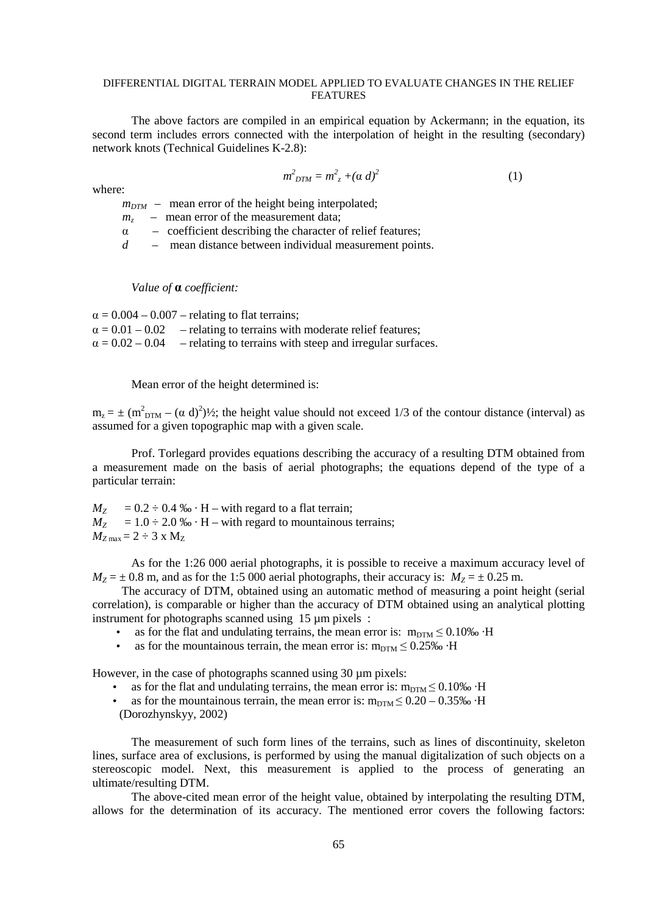The above factors are compiled in an empirical equation by Ackermann; in the equation, its second term includes errors connected with the interpolation of height in the resulting (secondary) network knots (Technical Guidelines K-2.8):

$$
m^2_{DTM} = m^2_{z} + (\alpha \, d)^2 \tag{1}
$$

where:

 $m_{DTM}$  – mean error of the height being interpolated;

 $m_z$  – mean error of the measurement data;

- $\alpha$  coefficient describing the character of relief features;
- *d* mean distance between individual measurement points.

*Value of a coefficient:* 

 $\alpha = 0.004 - 0.007$  – relating to flat terrains:  $\alpha = 0.01 - 0.02$  – relating to terrains with moderate relief features;  $\alpha = 0.02 - 0.04$  – relating to terrains with steep and irregular surfaces.

Mean error of the height determined is:

 $m_z = \pm (m_{DTM}^2 - (\alpha \ d)^2)/2$ ; the height value should not exceed 1/3 of the contour distance (interval) as assumed for a given topographic map with a given scale.

Prof. Torlegard provides equations describing the accuracy of a resulting DTM obtained from a measurement made on the basis of aerial photographs; the equations depend of the type of a particular terrain:

 $M_Z$  = 0.2 ÷ 0.4 ‰ · H – with regard to a flat terrain;  $M_Z$  = 1.0 ÷ 2.0 ‰ · H – with regard to mountainous terrains;  $M_{Z\text{ max}} = 2 \div 3 \text{ x } M_{Z}$ 

As for the 1:26 000 aerial photographs, it is possible to receive a maximum accuracy level of  $M_Z = \pm 0.8$  m, and as for the 1:5 000 aerial photographs, their accuracy is:  $M_Z = \pm 0.25$  m.

The accuracy of DTM, obtained using an automatic method of measuring a point height (serial correlation), is comparable or higher than the accuracy of DTM obtained using an analytical plotting instrument for photographs scanned using 15  $\mu$ m pixels :

- as for the flat and undulating terrains, the mean error is:  $m_{DTM} \leq 0.10\%$  ·H
- as for the mountainous terrain, the mean error is:  $m_{DTM} \leq 0.25\%$  ·H

However, in the case of photographs scanned using 30  $\mu$ m pixels:

- as for the flat and undulating terrains, the mean error is:  $m_{DTM} \leq 0.10\%$  H
- as for the mountainous terrain, the mean error is:  $m_{DTM} \leq 0.20 0.35\%$  ·H (Dorozhynskyy, 2002)

The measurement of such form lines of the terrains, such as lines of discontinuity, skeleton lines, surface area of exclusions, is performed by using the manual digitalization of such objects on a stereoscopic model. Next, this measurement is applied to the process of generating an ultimate/resulting DTM.

The above-cited mean error of the height value, obtained by interpolating the resulting DTM, allows for the determination of its accuracy. The mentioned error covers the following factors: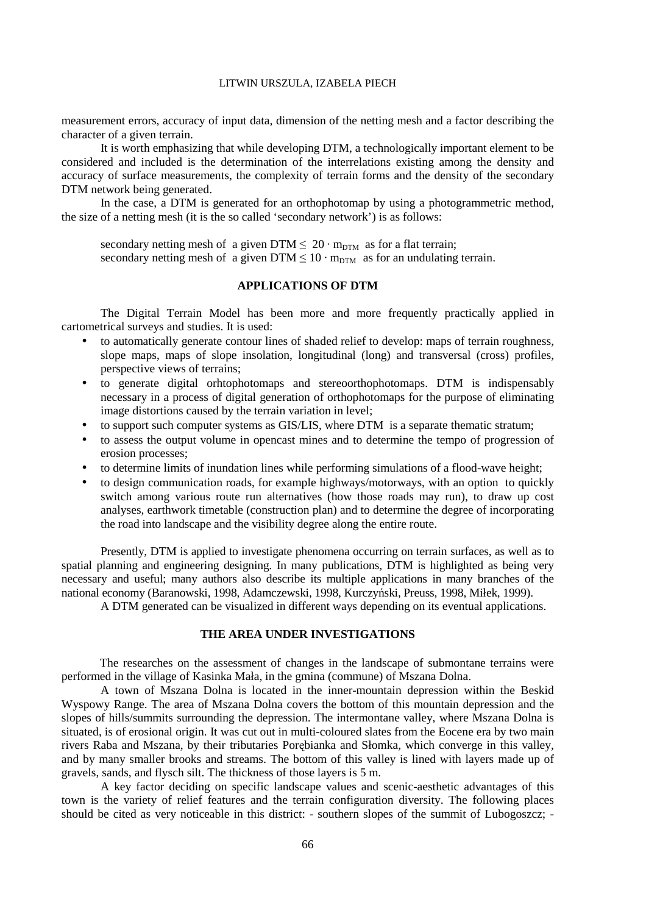measurement errors, accuracy of input data, dimension of the netting mesh and a factor describing the character of a given terrain.

It is worth emphasizing that while developing DTM, a technologically important element to be considered and included is the determination of the interrelations existing among the density and accuracy of surface measurements, the complexity of terrain forms and the density of the secondary DTM network being generated.

In the case, a DTM is generated for an orthophotomap by using a photogrammetric method, the size of a netting mesh (it is the so called 'secondary network') is as follows:

secondary netting mesh of a given DTM  $\leq 20 \cdot m_{\text{DTM}}$  as for a flat terrain; secondary netting mesh of a given DTM  $\leq 10 \cdot m_{DTM}$  as for an undulating terrain.

# **APPLICATIONS OF DTM**

The Digital Terrain Model has been more and more frequently practically applied in cartometrical surveys and studies. It is used:

- to automatically generate contour lines of shaded relief to develop: maps of terrain roughness, slope maps, maps of slope insolation, longitudinal (long) and transversal (cross) profiles, perspective views of terrains;
- to generate digital orhtophotomaps and stereoorthophotomaps. DTM is indispensably necessary in a process of digital generation of orthophotomaps for the purpose of eliminating image distortions caused by the terrain variation in level;
- to support such computer systems as GIS/LIS, where DTM is a separate thematic stratum;
- to assess the output volume in opencast mines and to determine the tempo of progression of erosion processes;
- to determine limits of inundation lines while performing simulations of a flood-wave height;
- to design communication roads, for example highways/motorways, with an option to quickly switch among various route run alternatives (how those roads may run), to draw up cost analyses, earthwork timetable (construction plan) and to determine the degree of incorporating the road into landscape and the visibility degree along the entire route.

Presently, DTM is applied to investigate phenomena occurring on terrain surfaces, as well as to spatial planning and engineering designing. In many publications, DTM is highlighted as being very necessary and useful; many authors also describe its multiple applications in many branches of the national economy (Baranowski, 1998, Adamczewski, 1998, Kurczyński, Preuss, 1998, Miłek, 1999).

A DTM generated can be visualized in different ways depending on its eventual applications.

# **THE AREA UNDER INVESTIGATIONS**

The researches on the assessment of changes in the landscape of submontane terrains were performed in the village of Kasinka Mała, in the gmina (commune) of Mszana Dolna.

A town of Mszana Dolna is located in the inner-mountain depression within the Beskid Wyspowy Range. The area of Mszana Dolna covers the bottom of this mountain depression and the slopes of hills/summits surrounding the depression. The intermontane valley, where Mszana Dolna is situated, is of erosional origin. It was cut out in multi-coloured slates from the Eocene era by two main rivers Raba and Mszana, by their tributaries Porębianka and Słomka, which converge in this valley, and by many smaller brooks and streams. The bottom of this valley is lined with layers made up of gravels, sands, and flysch silt. The thickness of those layers is 5 m.

A key factor deciding on specific landscape values and scenic-aesthetic advantages of this town is the variety of relief features and the terrain configuration diversity. The following places should be cited as very noticeable in this district: - southern slopes of the summit of Lubogoszcz; -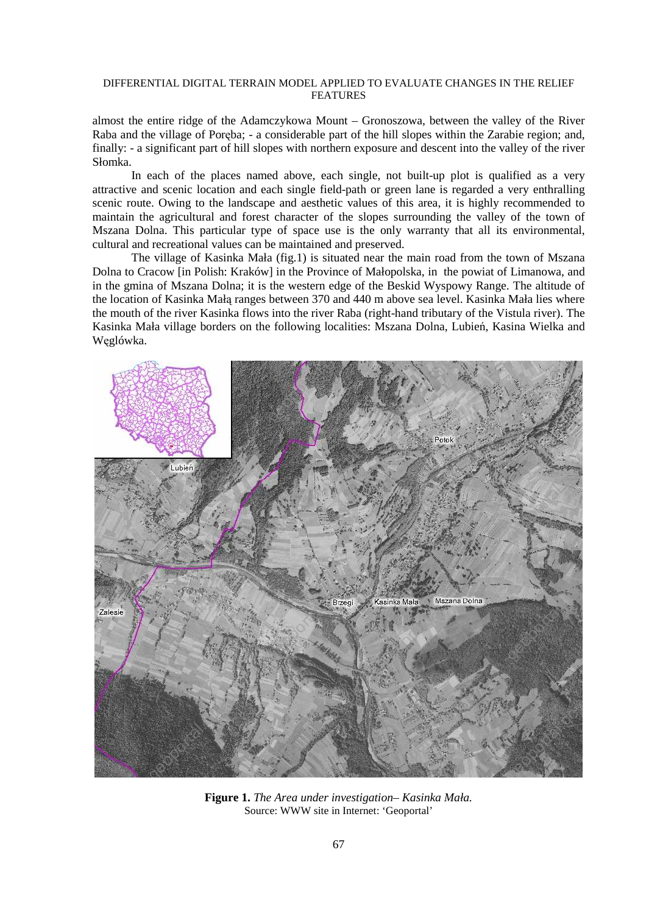almost the entire ridge of the Adamczykowa Mount – Gronoszowa, between the valley of the River Raba and the village of Poręba; - a considerable part of the hill slopes within the Zarabie region; and, finally: - a significant part of hill slopes with northern exposure and descent into the valley of the river Słomka.

In each of the places named above, each single, not built-up plot is qualified as a very attractive and scenic location and each single field-path or green lane is regarded a very enthralling scenic route. Owing to the landscape and aesthetic values of this area, it is highly recommended to maintain the agricultural and forest character of the slopes surrounding the valley of the town of Mszana Dolna. This particular type of space use is the only warranty that all its environmental, cultural and recreational values can be maintained and preserved.

The village of Kasinka Mała (fig.1) is situated near the main road from the town of Mszana Dolna to Cracow [in Polish: Kraków] in the Province of Małopolska, in the powiat of Limanowa, and in the gmina of Mszana Dolna; it is the western edge of the Beskid Wyspowy Range. The altitude of the location of Kasinka Małą ranges between 370 and 440 m above sea level. Kasinka Mała lies where the mouth of the river Kasinka flows into the river Raba (right-hand tributary of the Vistula river). The Kasinka Mała village borders on the following localities: Mszana Dolna, Lubień, Kasina Wielka and Węglówka.



**Figure 1.** *The Area under investigation– Kasinka Mała.* Source: WWW site in Internet: 'Geoportal'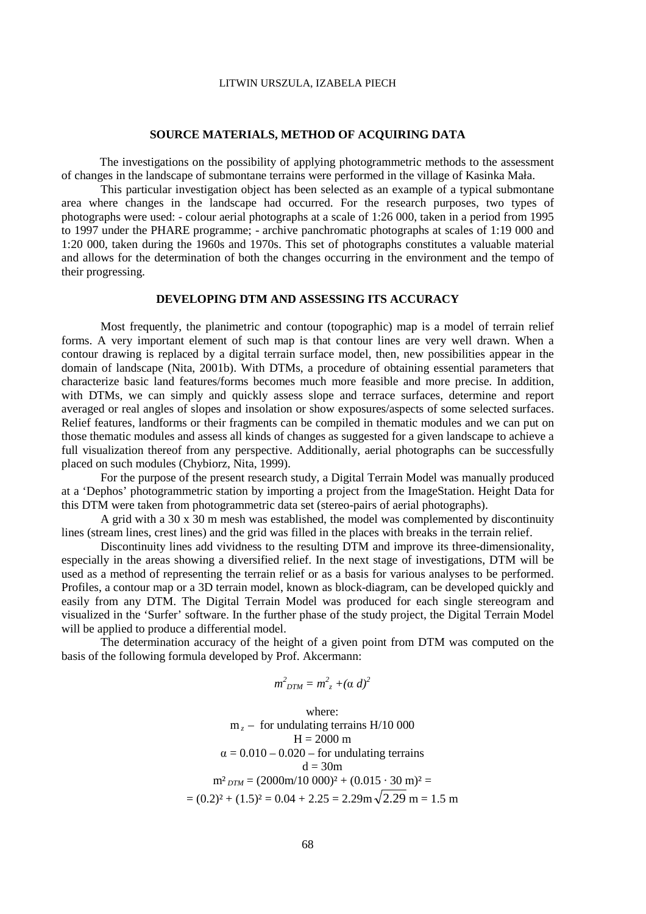#### **SOURCE MATERIALS, METHOD OF ACQUIRING DATA**

The investigations on the possibility of applying photogrammetric methods to the assessment of changes in the landscape of submontane terrains were performed in the village of Kasinka Mała.

 This particular investigation object has been selected as an example of a typical submontane area where changes in the landscape had occurred. For the research purposes, two types of photographs were used: - colour aerial photographs at a scale of 1:26 000, taken in a period from 1995 to 1997 under the PHARE programme; - archive panchromatic photographs at scales of 1:19 000 and 1:20 000, taken during the 1960s and 1970s. This set of photographs constitutes a valuable material and allows for the determination of both the changes occurring in the environment and the tempo of their progressing.

# **DEVELOPING DTM AND ASSESSING ITS ACCURACY**

Most frequently, the planimetric and contour (topographic) map is a model of terrain relief forms. A very important element of such map is that contour lines are very well drawn. When a contour drawing is replaced by a digital terrain surface model, then, new possibilities appear in the domain of landscape (Nita, 2001b). With DTMs, a procedure of obtaining essential parameters that characterize basic land features/forms becomes much more feasible and more precise. In addition, with DTMs, we can simply and quickly assess slope and terrace surfaces, determine and report averaged or real angles of slopes and insolation or show exposures/aspects of some selected surfaces. Relief features, landforms or their fragments can be compiled in thematic modules and we can put on those thematic modules and assess all kinds of changes as suggested for a given landscape to achieve a full visualization thereof from any perspective. Additionally, aerial photographs can be successfully placed on such modules (Chybiorz, Nita, 1999).

For the purpose of the present research study, a Digital Terrain Model was manually produced at a 'Dephos' photogrammetric station by importing a project from the ImageStation. Height Data for this DTM were taken from photogrammetric data set (stereo-pairs of aerial photographs).

A grid with a 30 x 30 m mesh was established, the model was complemented by discontinuity lines (stream lines, crest lines) and the grid was filled in the places with breaks in the terrain relief.

Discontinuity lines add vividness to the resulting DTM and improve its three-dimensionality, especially in the areas showing a diversified relief. In the next stage of investigations, DTM will be used as a method of representing the terrain relief or as a basis for various analyses to be performed. Profiles, a contour map or a 3D terrain model, known as block-diagram, can be developed quickly and easily from any DTM. The Digital Terrain Model was produced for each single stereogram and visualized in the 'Surfer' software. In the further phase of the study project, the Digital Terrain Model will be applied to produce a differential model.

The determination accuracy of the height of a given point from DTM was computed on the basis of the following formula developed by Prof. Akcermann:

$$
m^2_{DTM} = m^2_{z} + (\alpha \, d)^2
$$

where:  
\n
$$
m_z
$$
 – for undulating terrains H/10 000  
\nH = 2000 m  
\n $\alpha$  = 0.010 – 0.020 – for undulating terrains  
\nd = 30m  
\n $m^2_{DTM}$  = (2000m/10 000)<sup>2</sup> + (0.015 · 30 m)<sup>2</sup> =  
\n= (0.2)<sup>2</sup> + (1.5)<sup>2</sup> = 0.04 + 2.25 = 2.29m $\sqrt{2.29}$  m = 1.5 m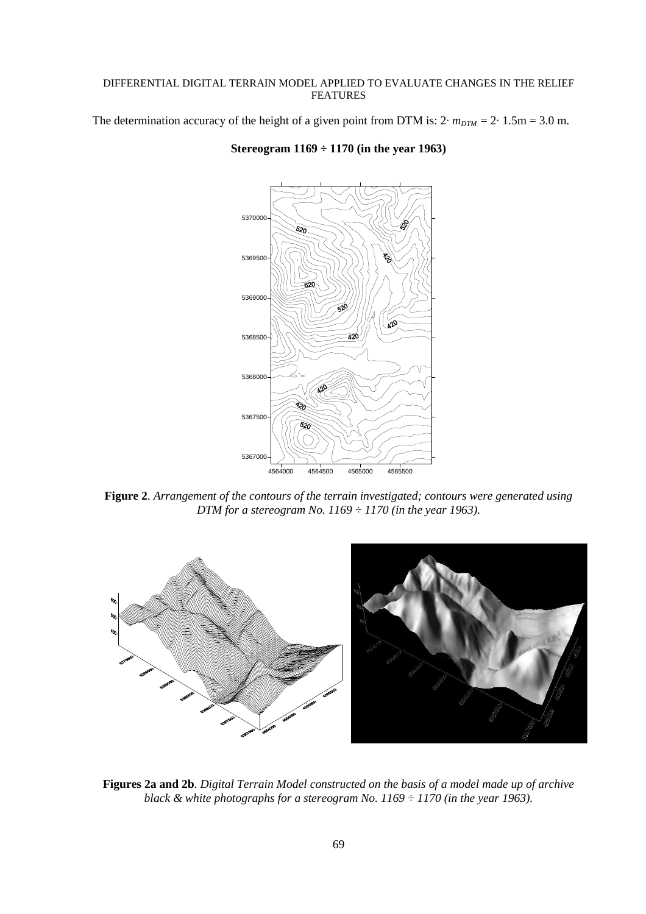The determination accuracy of the height of a given point from DTM is:  $2 \cdot m_{DTM} = 2 \cdot 1.5 \text{m} = 3.0 \text{ m}$ .



## **Stereogram 1169 ÷ 1170 (in the year 1963)**

**Figure 2**. *Arrangement of the contours of the terrain investigated; contours were generated using DTM for a stereogram No. 1169 ÷ 1170 (in the year 1963).* 



**Figures 2a and 2b**. *Digital Terrain Model constructed on the basis of a model made up of archive black & white photographs for a stereogram No. 1169 ÷ 1170 (in the year 1963).*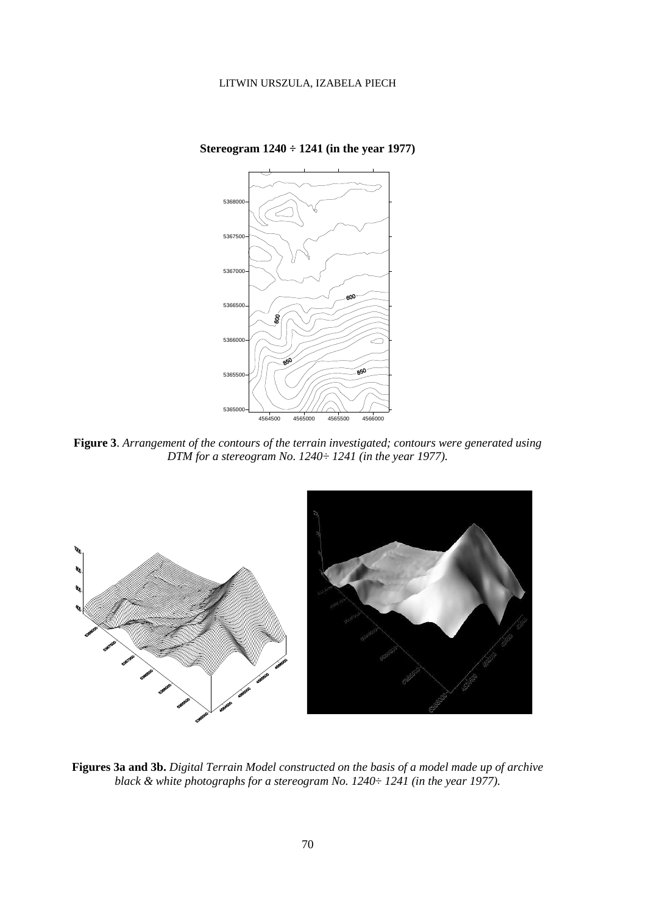

**Stereogram 1240 ÷ 1241 (in the year 1977)** 

**Figure 3**. *Arrangement of the contours of the terrain investigated; contours were generated using DTM for a stereogram No. 1240÷ 1241 (in the year 1977).* 



**Figures 3a and 3b.** *Digital Terrain Model constructed on the basis of a model made up of archive black & white photographs for a stereogram No. 1240÷ 1241 (in the year 1977).*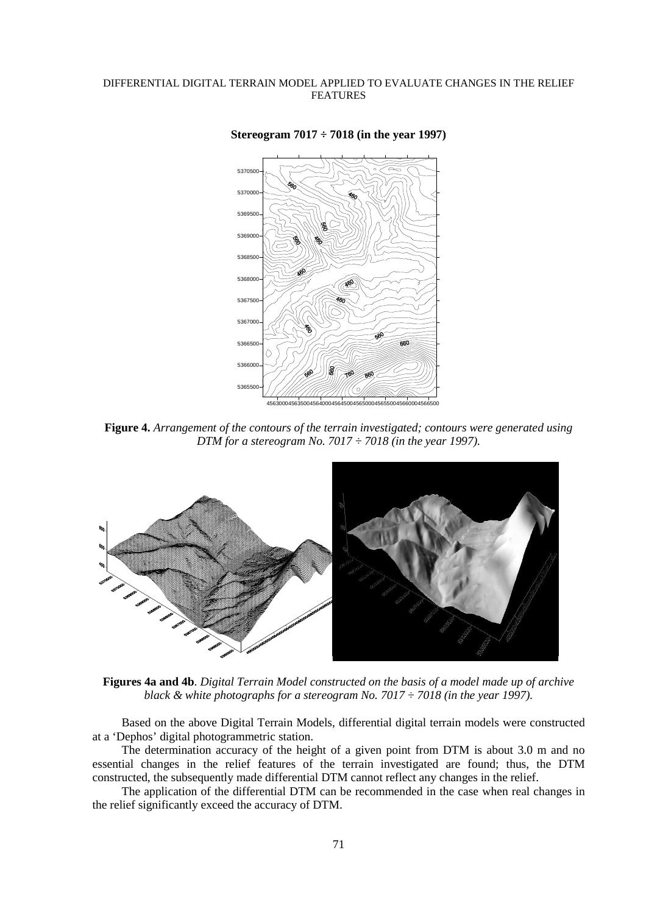

**Stereogram 7017 ÷ 7018 (in the year 1997)**

**Figure 4.** *Arrangement of the contours of the terrain investigated; contours were generated using DTM for a stereogram No. 7017 ÷ 7018 (in the year 1997).* 



**Figures 4a and 4b**. *Digital Terrain Model constructed on the basis of a model made up of archive black & white photographs for a stereogram No. 7017 ÷ 7018 (in the year 1997).* 

Based on the above Digital Terrain Models, differential digital terrain models were constructed at a 'Dephos' digital photogrammetric station.

The determination accuracy of the height of a given point from DTM is about 3.0 m and no essential changes in the relief features of the terrain investigated are found; thus, the DTM constructed, the subsequently made differential DTM cannot reflect any changes in the relief.

The application of the differential DTM can be recommended in the case when real changes in the relief significantly exceed the accuracy of DTM.